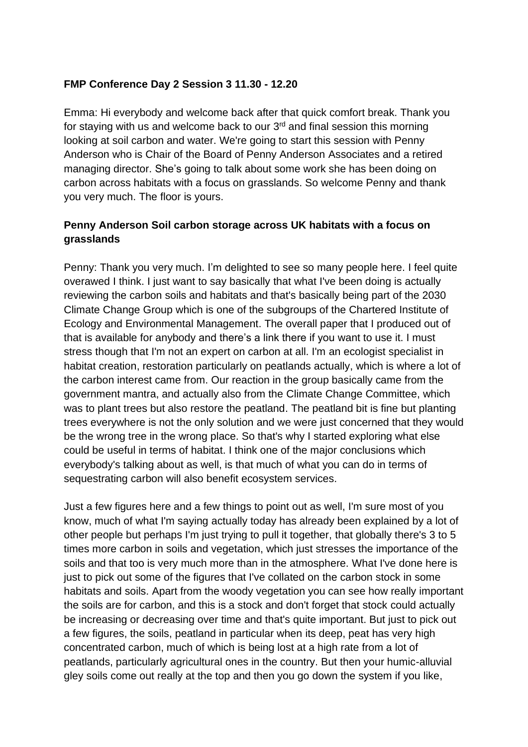### **FMP Conference Day 2 Session 3 11.30 - 12.20**

Emma: Hi everybody and welcome back after that quick comfort break. Thank you for staying with us and welcome back to our 3<sup>rd</sup> and final session this morning looking at soil carbon and water. We're going to start this session with Penny Anderson who is Chair of the Board of Penny Anderson Associates and a retired managing director. She's going to talk about some work she has been doing on carbon across habitats with a focus on grasslands. So welcome Penny and thank you very much. The floor is yours.

## **Penny Anderson Soil carbon storage across UK habitats with a focus on grasslands**

Penny: Thank you very much. I'm delighted to see so many people here. I feel quite overawed I think. I just want to say basically that what I've been doing is actually reviewing the carbon soils and habitats and that's basically being part of the 2030 Climate Change Group which is one of the subgroups of the Chartered Institute of Ecology and Environmental Management. The overall paper that I produced out of that is available for anybody and there's a link there if you want to use it. I must stress though that I'm not an expert on carbon at all. I'm an ecologist specialist in habitat creation, restoration particularly on peatlands actually, which is where a lot of the carbon interest came from. Our reaction in the group basically came from the government mantra, and actually also from the Climate Change Committee, which was to plant trees but also restore the peatland. The peatland bit is fine but planting trees everywhere is not the only solution and we were just concerned that they would be the wrong tree in the wrong place. So that's why I started exploring what else could be useful in terms of habitat. I think one of the major conclusions which everybody's talking about as well, is that much of what you can do in terms of sequestrating carbon will also benefit ecosystem services.

Just a few figures here and a few things to point out as well, I'm sure most of you know, much of what I'm saying actually today has already been explained by a lot of other people but perhaps I'm just trying to pull it together, that globally there's 3 to 5 times more carbon in soils and vegetation, which just stresses the importance of the soils and that too is very much more than in the atmosphere. What I've done here is just to pick out some of the figures that I've collated on the carbon stock in some habitats and soils. Apart from the woody vegetation you can see how really important the soils are for carbon, and this is a stock and don't forget that stock could actually be increasing or decreasing over time and that's quite important. But just to pick out a few figures, the soils, peatland in particular when its deep, peat has very high concentrated carbon, much of which is being lost at a high rate from a lot of peatlands, particularly agricultural ones in the country. But then your humic-alluvial gley soils come out really at the top and then you go down the system if you like,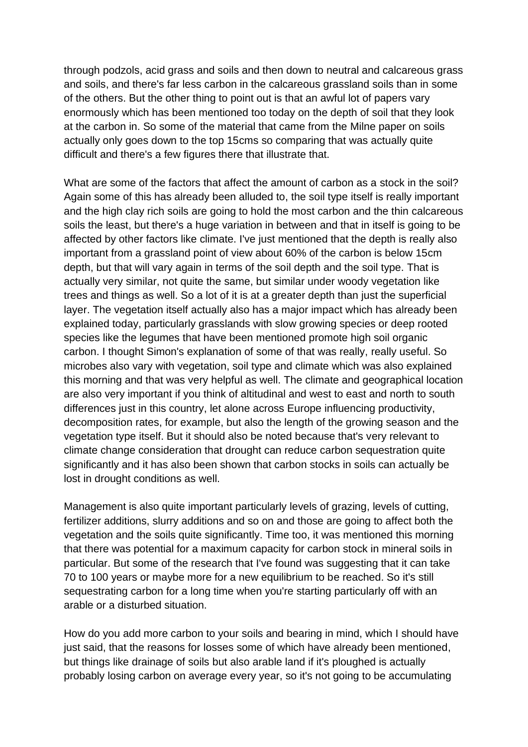through podzols, acid grass and soils and then down to neutral and calcareous grass and soils, and there's far less carbon in the calcareous grassland soils than in some of the others. But the other thing to point out is that an awful lot of papers vary enormously which has been mentioned too today on the depth of soil that they look at the carbon in. So some of the material that came from the Milne paper on soils actually only goes down to the top 15cms so comparing that was actually quite difficult and there's a few figures there that illustrate that.

What are some of the factors that affect the amount of carbon as a stock in the soil? Again some of this has already been alluded to, the soil type itself is really important and the high clay rich soils are going to hold the most carbon and the thin calcareous soils the least, but there's a huge variation in between and that in itself is going to be affected by other factors like climate. I've just mentioned that the depth is really also important from a grassland point of view about 60% of the carbon is below 15cm depth, but that will vary again in terms of the soil depth and the soil type. That is actually very similar, not quite the same, but similar under woody vegetation like trees and things as well. So a lot of it is at a greater depth than just the superficial layer. The vegetation itself actually also has a major impact which has already been explained today, particularly grasslands with slow growing species or deep rooted species like the legumes that have been mentioned promote high soil organic carbon. I thought Simon's explanation of some of that was really, really useful. So microbes also vary with vegetation, soil type and climate which was also explained this morning and that was very helpful as well. The climate and geographical location are also very important if you think of altitudinal and west to east and north to south differences just in this country, let alone across Europe influencing productivity, decomposition rates, for example, but also the length of the growing season and the vegetation type itself. But it should also be noted because that's very relevant to climate change consideration that drought can reduce carbon sequestration quite significantly and it has also been shown that carbon stocks in soils can actually be lost in drought conditions as well.

Management is also quite important particularly levels of grazing, levels of cutting, fertilizer additions, slurry additions and so on and those are going to affect both the vegetation and the soils quite significantly. Time too, it was mentioned this morning that there was potential for a maximum capacity for carbon stock in mineral soils in particular. But some of the research that I've found was suggesting that it can take 70 to 100 years or maybe more for a new equilibrium to be reached. So it's still sequestrating carbon for a long time when you're starting particularly off with an arable or a disturbed situation.

How do you add more carbon to your soils and bearing in mind, which I should have just said, that the reasons for losses some of which have already been mentioned, but things like drainage of soils but also arable land if it's ploughed is actually probably losing carbon on average every year, so it's not going to be accumulating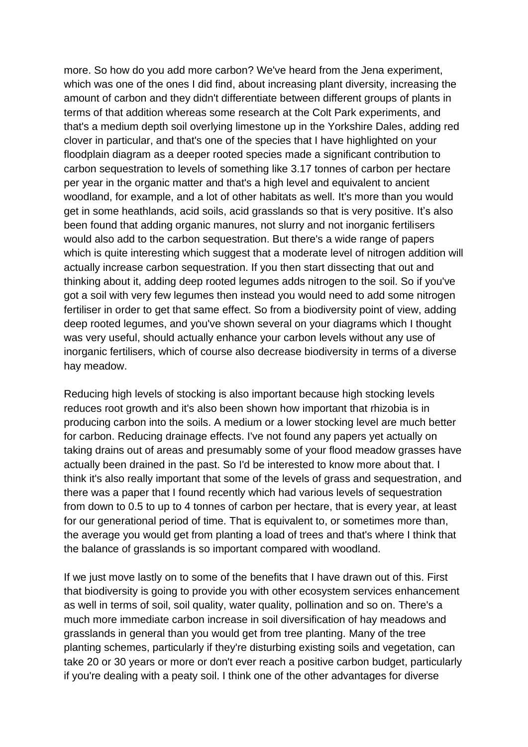more. So how do you add more carbon? We've heard from the Jena experiment, which was one of the ones I did find, about increasing plant diversity, increasing the amount of carbon and they didn't differentiate between different groups of plants in terms of that addition whereas some research at the Colt Park experiments, and that's a medium depth soil overlying limestone up in the Yorkshire Dales, adding red clover in particular, and that's one of the species that I have highlighted on your floodplain diagram as a deeper rooted species made a significant contribution to carbon sequestration to levels of something like 3.17 tonnes of carbon per hectare per year in the organic matter and that's a high level and equivalent to ancient woodland, for example, and a lot of other habitats as well. It's more than you would get in some heathlands, acid soils, acid grasslands so that is very positive. It's also been found that adding organic manures, not slurry and not inorganic fertilisers would also add to the carbon sequestration. But there's a wide range of papers which is quite interesting which suggest that a moderate level of nitrogen addition will actually increase carbon sequestration. If you then start dissecting that out and thinking about it, adding deep rooted legumes adds nitrogen to the soil. So if you've got a soil with very few legumes then instead you would need to add some nitrogen fertiliser in order to get that same effect. So from a biodiversity point of view, adding deep rooted legumes, and you've shown several on your diagrams which I thought was very useful, should actually enhance your carbon levels without any use of inorganic fertilisers, which of course also decrease biodiversity in terms of a diverse hay meadow.

Reducing high levels of stocking is also important because high stocking levels reduces root growth and it's also been shown how important that rhizobia is in producing carbon into the soils. A medium or a lower stocking level are much better for carbon. Reducing drainage effects. I've not found any papers yet actually on taking drains out of areas and presumably some of your flood meadow grasses have actually been drained in the past. So I'd be interested to know more about that. I think it's also really important that some of the levels of grass and sequestration, and there was a paper that I found recently which had various levels of sequestration from down to 0.5 to up to 4 tonnes of carbon per hectare, that is every year, at least for our generational period of time. That is equivalent to, or sometimes more than, the average you would get from planting a load of trees and that's where I think that the balance of grasslands is so important compared with woodland.

If we just move lastly on to some of the benefits that I have drawn out of this. First that biodiversity is going to provide you with other ecosystem services enhancement as well in terms of soil, soil quality, water quality, pollination and so on. There's a much more immediate carbon increase in soil diversification of hay meadows and grasslands in general than you would get from tree planting. Many of the tree planting schemes, particularly if they're disturbing existing soils and vegetation, can take 20 or 30 years or more or don't ever reach a positive carbon budget, particularly if you're dealing with a peaty soil. I think one of the other advantages for diverse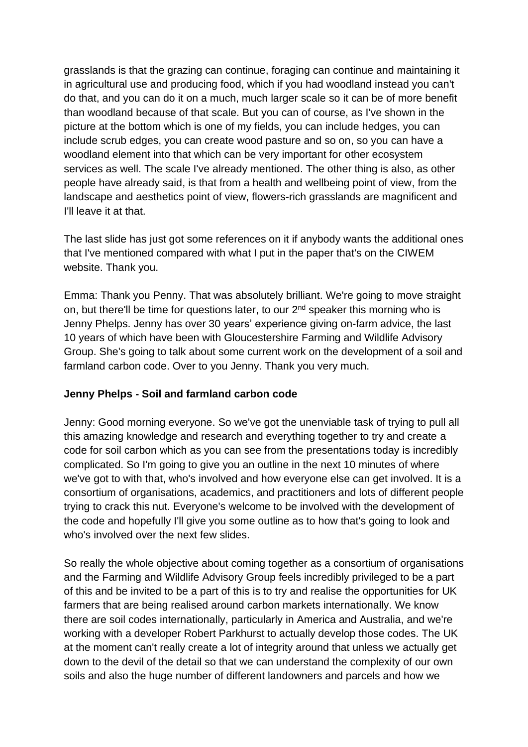grasslands is that the grazing can continue, foraging can continue and maintaining it in agricultural use and producing food, which if you had woodland instead you can't do that, and you can do it on a much, much larger scale so it can be of more benefit than woodland because of that scale. But you can of course, as I've shown in the picture at the bottom which is one of my fields, you can include hedges, you can include scrub edges, you can create wood pasture and so on, so you can have a woodland element into that which can be very important for other ecosystem services as well. The scale I've already mentioned. The other thing is also, as other people have already said, is that from a health and wellbeing point of view, from the landscape and aesthetics point of view, flowers-rich grasslands are magnificent and I'll leave it at that.

The last slide has just got some references on it if anybody wants the additional ones that I've mentioned compared with what I put in the paper that's on the CIWEM website. Thank you.

Emma: Thank you Penny. That was absolutely brilliant. We're going to move straight on, but there'll be time for questions later, to our 2<sup>nd</sup> speaker this morning who is Jenny Phelps. Jenny has over 30 years' experience giving on-farm advice, the last 10 years of which have been with Gloucestershire Farming and Wildlife Advisory Group. She's going to talk about some current work on the development of a soil and farmland carbon code. Over to you Jenny. Thank you very much.

#### **Jenny Phelps - Soil and farmland carbon code**

Jenny: Good morning everyone. So we've got the unenviable task of trying to pull all this amazing knowledge and research and everything together to try and create a code for soil carbon which as you can see from the presentations today is incredibly complicated. So I'm going to give you an outline in the next 10 minutes of where we've got to with that, who's involved and how everyone else can get involved. It is a consortium of organisations, academics, and practitioners and lots of different people trying to crack this nut. Everyone's welcome to be involved with the development of the code and hopefully I'll give you some outline as to how that's going to look and who's involved over the next few slides.

So really the whole objective about coming together as a consortium of organisations and the Farming and Wildlife Advisory Group feels incredibly privileged to be a part of this and be invited to be a part of this is to try and realise the opportunities for UK farmers that are being realised around carbon markets internationally. We know there are soil codes internationally, particularly in America and Australia, and we're working with a developer Robert Parkhurst to actually develop those codes. The UK at the moment can't really create a lot of integrity around that unless we actually get down to the devil of the detail so that we can understand the complexity of our own soils and also the huge number of different landowners and parcels and how we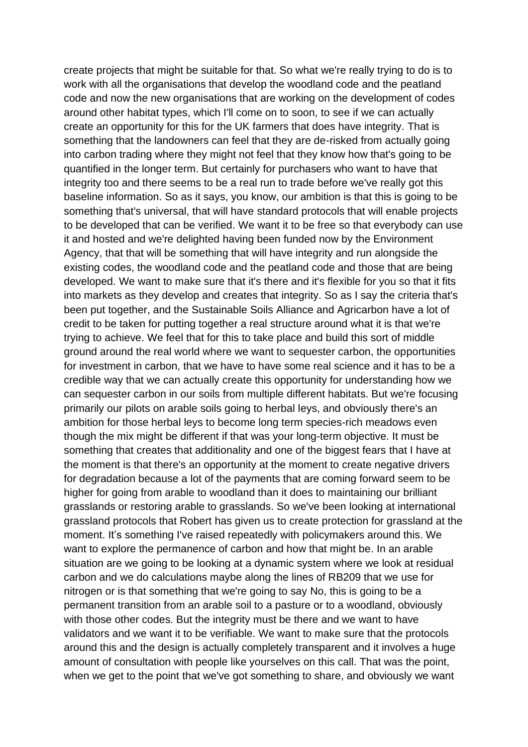create projects that might be suitable for that. So what we're really trying to do is to work with all the organisations that develop the woodland code and the peatland code and now the new organisations that are working on the development of codes around other habitat types, which I'll come on to soon, to see if we can actually create an opportunity for this for the UK farmers that does have integrity. That is something that the landowners can feel that they are de-risked from actually going into carbon trading where they might not feel that they know how that's going to be quantified in the longer term. But certainly for purchasers who want to have that integrity too and there seems to be a real run to trade before we've really got this baseline information. So as it says, you know, our ambition is that this is going to be something that's universal, that will have standard protocols that will enable projects to be developed that can be verified. We want it to be free so that everybody can use it and hosted and we're delighted having been funded now by the Environment Agency, that that will be something that will have integrity and run alongside the existing codes, the woodland code and the peatland code and those that are being developed. We want to make sure that it's there and it's flexible for you so that it fits into markets as they develop and creates that integrity. So as I say the criteria that's been put together, and the Sustainable Soils Alliance and Agricarbon have a lot of credit to be taken for putting together a real structure around what it is that we're trying to achieve. We feel that for this to take place and build this sort of middle ground around the real world where we want to sequester carbon, the opportunities for investment in carbon, that we have to have some real science and it has to be a credible way that we can actually create this opportunity for understanding how we can sequester carbon in our soils from multiple different habitats. But we're focusing primarily our pilots on arable soils going to herbal leys, and obviously there's an ambition for those herbal leys to become long term species-rich meadows even though the mix might be different if that was your long-term objective. It must be something that creates that additionality and one of the biggest fears that I have at the moment is that there's an opportunity at the moment to create negative drivers for degradation because a lot of the payments that are coming forward seem to be higher for going from arable to woodland than it does to maintaining our brilliant grasslands or restoring arable to grasslands. So we've been looking at international grassland protocols that Robert has given us to create protection for grassland at the moment. It's something I've raised repeatedly with policymakers around this. We want to explore the permanence of carbon and how that might be. In an arable situation are we going to be looking at a dynamic system where we look at residual carbon and we do calculations maybe along the lines of RB209 that we use for nitrogen or is that something that we're going to say No, this is going to be a permanent transition from an arable soil to a pasture or to a woodland, obviously with those other codes. But the integrity must be there and we want to have validators and we want it to be verifiable. We want to make sure that the protocols around this and the design is actually completely transparent and it involves a huge amount of consultation with people like yourselves on this call. That was the point, when we get to the point that we've got something to share, and obviously we want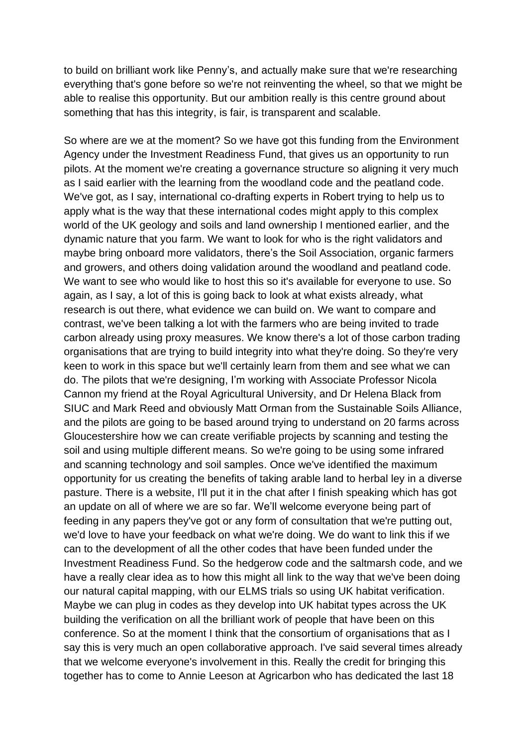to build on brilliant work like Penny's, and actually make sure that we're researching everything that's gone before so we're not reinventing the wheel, so that we might be able to realise this opportunity. But our ambition really is this centre ground about something that has this integrity, is fair, is transparent and scalable.

So where are we at the moment? So we have got this funding from the Environment Agency under the Investment Readiness Fund, that gives us an opportunity to run pilots. At the moment we're creating a governance structure so aligning it very much as I said earlier with the learning from the woodland code and the peatland code. We've got, as I say, international co-drafting experts in Robert trying to help us to apply what is the way that these international codes might apply to this complex world of the UK geology and soils and land ownership I mentioned earlier, and the dynamic nature that you farm. We want to look for who is the right validators and maybe bring onboard more validators, there's the Soil Association, organic farmers and growers, and others doing validation around the woodland and peatland code. We want to see who would like to host this so it's available for everyone to use. So again, as I say, a lot of this is going back to look at what exists already, what research is out there, what evidence we can build on. We want to compare and contrast, we've been talking a lot with the farmers who are being invited to trade carbon already using proxy measures. We know there's a lot of those carbon trading organisations that are trying to build integrity into what they're doing. So they're very keen to work in this space but we'll certainly learn from them and see what we can do. The pilots that we're designing, I'm working with Associate Professor Nicola Cannon my friend at the Royal Agricultural University, and Dr Helena Black from SIUC and Mark Reed and obviously Matt Orman from the Sustainable Soils Alliance, and the pilots are going to be based around trying to understand on 20 farms across Gloucestershire how we can create verifiable projects by scanning and testing the soil and using multiple different means. So we're going to be using some infrared and scanning technology and soil samples. Once we've identified the maximum opportunity for us creating the benefits of taking arable land to herbal ley in a diverse pasture. There is a website, I'll put it in the chat after I finish speaking which has got an update on all of where we are so far. We'll welcome everyone being part of feeding in any papers they've got or any form of consultation that we're putting out, we'd love to have your feedback on what we're doing. We do want to link this if we can to the development of all the other codes that have been funded under the Investment Readiness Fund. So the hedgerow code and the saltmarsh code, and we have a really clear idea as to how this might all link to the way that we've been doing our natural capital mapping, with our ELMS trials so using UK habitat verification. Maybe we can plug in codes as they develop into UK habitat types across the UK building the verification on all the brilliant work of people that have been on this conference. So at the moment I think that the consortium of organisations that as I say this is very much an open collaborative approach. I've said several times already that we welcome everyone's involvement in this. Really the credit for bringing this together has to come to Annie Leeson at Agricarbon who has dedicated the last 18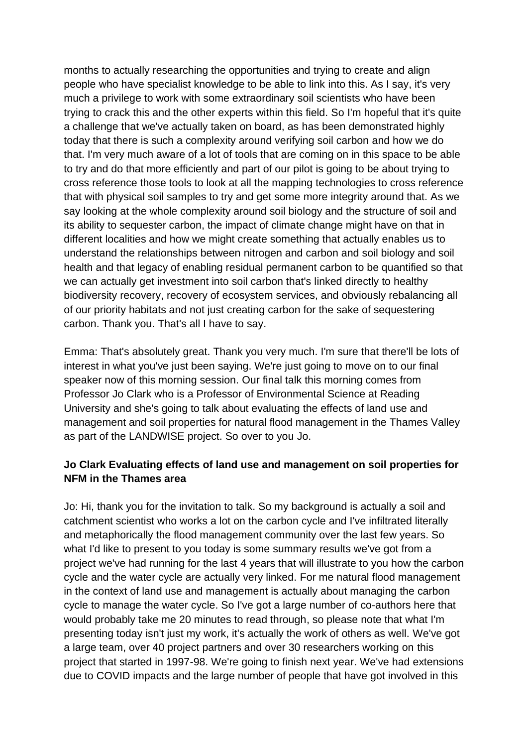months to actually researching the opportunities and trying to create and align people who have specialist knowledge to be able to link into this. As I say, it's very much a privilege to work with some extraordinary soil scientists who have been trying to crack this and the other experts within this field. So I'm hopeful that it's quite a challenge that we've actually taken on board, as has been demonstrated highly today that there is such a complexity around verifying soil carbon and how we do that. I'm very much aware of a lot of tools that are coming on in this space to be able to try and do that more efficiently and part of our pilot is going to be about trying to cross reference those tools to look at all the mapping technologies to cross reference that with physical soil samples to try and get some more integrity around that. As we say looking at the whole complexity around soil biology and the structure of soil and its ability to sequester carbon, the impact of climate change might have on that in different localities and how we might create something that actually enables us to understand the relationships between nitrogen and carbon and soil biology and soil health and that legacy of enabling residual permanent carbon to be quantified so that we can actually get investment into soil carbon that's linked directly to healthy biodiversity recovery, recovery of ecosystem services, and obviously rebalancing all of our priority habitats and not just creating carbon for the sake of sequestering carbon. Thank you. That's all I have to say.

Emma: That's absolutely great. Thank you very much. I'm sure that there'll be lots of interest in what you've just been saying. We're just going to move on to our final speaker now of this morning session. Our final talk this morning comes from Professor Jo Clark who is a Professor of Environmental Science at Reading University and she's going to talk about evaluating the effects of land use and management and soil properties for natural flood management in the Thames Valley as part of the LANDWISE project. So over to you Jo.

# **Jo Clark Evaluating effects of land use and management on soil properties for NFM in the Thames area**

Jo: Hi, thank you for the invitation to talk. So my background is actually a soil and catchment scientist who works a lot on the carbon cycle and I've infiltrated literally and metaphorically the flood management community over the last few years. So what I'd like to present to you today is some summary results we've got from a project we've had running for the last 4 years that will illustrate to you how the carbon cycle and the water cycle are actually very linked. For me natural flood management in the context of land use and management is actually about managing the carbon cycle to manage the water cycle. So I've got a large number of co-authors here that would probably take me 20 minutes to read through, so please note that what I'm presenting today isn't just my work, it's actually the work of others as well. We've got a large team, over 40 project partners and over 30 researchers working on this project that started in 1997-98. We're going to finish next year. We've had extensions due to COVID impacts and the large number of people that have got involved in this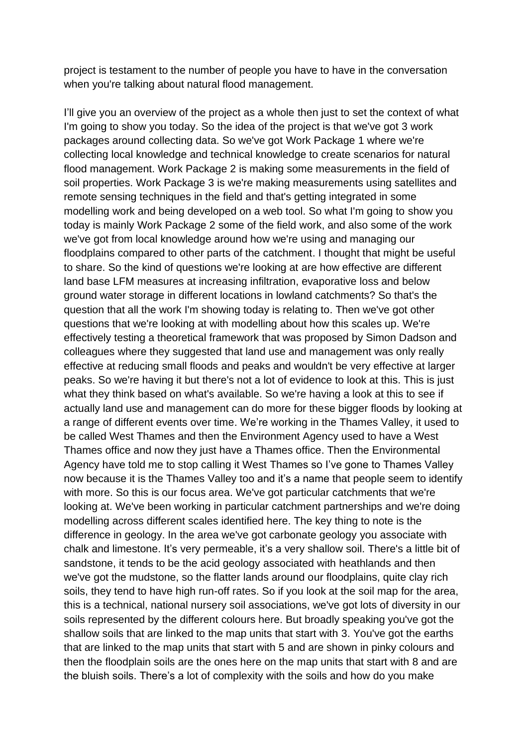project is testament to the number of people you have to have in the conversation when you're talking about natural flood management.

I'll give you an overview of the project as a whole then just to set the context of what I'm going to show you today. So the idea of the project is that we've got 3 work packages around collecting data. So we've got Work Package 1 where we're collecting local knowledge and technical knowledge to create scenarios for natural flood management. Work Package 2 is making some measurements in the field of soil properties. Work Package 3 is we're making measurements using satellites and remote sensing techniques in the field and that's getting integrated in some modelling work and being developed on a web tool. So what I'm going to show you today is mainly Work Package 2 some of the field work, and also some of the work we've got from local knowledge around how we're using and managing our floodplains compared to other parts of the catchment. I thought that might be useful to share. So the kind of questions we're looking at are how effective are different land base LFM measures at increasing infiltration, evaporative loss and below ground water storage in different locations in lowland catchments? So that's the question that all the work I'm showing today is relating to. Then we've got other questions that we're looking at with modelling about how this scales up. We're effectively testing a theoretical framework that was proposed by Simon Dadson and colleagues where they suggested that land use and management was only really effective at reducing small floods and peaks and wouldn't be very effective at larger peaks. So we're having it but there's not a lot of evidence to look at this. This is just what they think based on what's available. So we're having a look at this to see if actually land use and management can do more for these bigger floods by looking at a range of different events over time. We're working in the Thames Valley, it used to be called West Thames and then the Environment Agency used to have a West Thames office and now they just have a Thames office. Then the Environmental Agency have told me to stop calling it West Thames so I've gone to Thames Valley now because it is the Thames Valley too and it's a name that people seem to identify with more. So this is our focus area. We've got particular catchments that we're looking at. We've been working in particular catchment partnerships and we're doing modelling across different scales identified here. The key thing to note is the difference in geology. In the area we've got carbonate geology you associate with chalk and limestone. It's very permeable, it's a very shallow soil. There's a little bit of sandstone, it tends to be the acid geology associated with heathlands and then we've got the mudstone, so the flatter lands around our floodplains, quite clay rich soils, they tend to have high run-off rates. So if you look at the soil map for the area, this is a technical, national nursery soil associations, we've got lots of diversity in our soils represented by the different colours here. But broadly speaking you've got the shallow soils that are linked to the map units that start with 3. You've got the earths that are linked to the map units that start with 5 and are shown in pinky colours and then the floodplain soils are the ones here on the map units that start with 8 and are the bluish soils. There's a lot of complexity with the soils and how do you make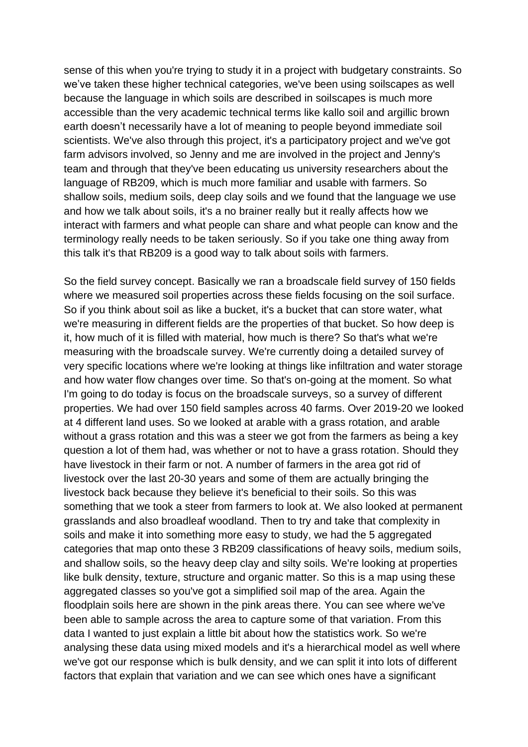sense of this when you're trying to study it in a project with budgetary constraints. So we've taken these higher technical categories, we've been using soilscapes as well because the language in which soils are described in soilscapes is much more accessible than the very academic technical terms like kallo soil and argillic brown earth doesn't necessarily have a lot of meaning to people beyond immediate soil scientists. We've also through this project, it's a participatory project and we've got farm advisors involved, so Jenny and me are involved in the project and Jenny's team and through that they've been educating us university researchers about the language of RB209, which is much more familiar and usable with farmers. So shallow soils, medium soils, deep clay soils and we found that the language we use and how we talk about soils, it's a no brainer really but it really affects how we interact with farmers and what people can share and what people can know and the terminology really needs to be taken seriously. So if you take one thing away from this talk it's that RB209 is a good way to talk about soils with farmers.

So the field survey concept. Basically we ran a broadscale field survey of 150 fields where we measured soil properties across these fields focusing on the soil surface. So if you think about soil as like a bucket, it's a bucket that can store water, what we're measuring in different fields are the properties of that bucket. So how deep is it, how much of it is filled with material, how much is there? So that's what we're measuring with the broadscale survey. We're currently doing a detailed survey of very specific locations where we're looking at things like infiltration and water storage and how water flow changes over time. So that's on-going at the moment. So what I'm going to do today is focus on the broadscale surveys, so a survey of different properties. We had over 150 field samples across 40 farms. Over 2019-20 we looked at 4 different land uses. So we looked at arable with a grass rotation, and arable without a grass rotation and this was a steer we got from the farmers as being a key question a lot of them had, was whether or not to have a grass rotation. Should they have livestock in their farm or not. A number of farmers in the area got rid of livestock over the last 20-30 years and some of them are actually bringing the livestock back because they believe it's beneficial to their soils. So this was something that we took a steer from farmers to look at. We also looked at permanent grasslands and also broadleaf woodland. Then to try and take that complexity in soils and make it into something more easy to study, we had the 5 aggregated categories that map onto these 3 RB209 classifications of heavy soils, medium soils, and shallow soils, so the heavy deep clay and silty soils. We're looking at properties like bulk density, texture, structure and organic matter. So this is a map using these aggregated classes so you've got a simplified soil map of the area. Again the floodplain soils here are shown in the pink areas there. You can see where we've been able to sample across the area to capture some of that variation. From this data I wanted to just explain a little bit about how the statistics work. So we're analysing these data using mixed models and it's a hierarchical model as well where we've got our response which is bulk density, and we can split it into lots of different factors that explain that variation and we can see which ones have a significant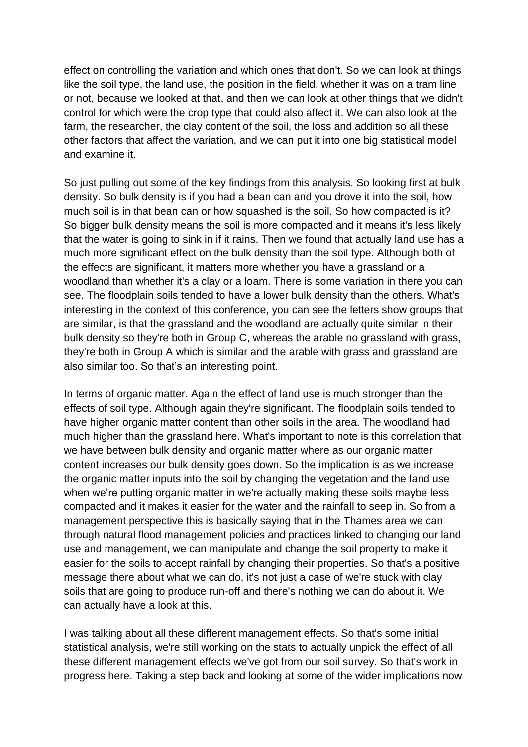effect on controlling the variation and which ones that don't. So we can look at things like the soil type, the land use, the position in the field, whether it was on a tram line or not, because we looked at that, and then we can look at other things that we didn't control for which were the crop type that could also affect it. We can also look at the farm, the researcher, the clay content of the soil, the loss and addition so all these other factors that affect the variation, and we can put it into one big statistical model and examine it.

So just pulling out some of the key findings from this analysis. So looking first at bulk density. So bulk density is if you had a bean can and you drove it into the soil, how much soil is in that bean can or how squashed is the soil. So how compacted is it? So bigger bulk density means the soil is more compacted and it means it's less likely that the water is going to sink in if it rains. Then we found that actually land use has a much more significant effect on the bulk density than the soil type. Although both of the effects are significant, it matters more whether you have a grassland or a woodland than whether it's a clay or a loam. There is some variation in there you can see. The floodplain soils tended to have a lower bulk density than the others. What's interesting in the context of this conference, you can see the letters show groups that are similar, is that the grassland and the woodland are actually quite similar in their bulk density so they're both in Group C, whereas the arable no grassland with grass, they're both in Group A which is similar and the arable with grass and grassland are also similar too. So that's an interesting point.

In terms of organic matter. Again the effect of land use is much stronger than the effects of soil type. Although again they're significant. The floodplain soils tended to have higher organic matter content than other soils in the area. The woodland had much higher than the grassland here. What's important to note is this correlation that we have between bulk density and organic matter where as our organic matter content increases our bulk density goes down. So the implication is as we increase the organic matter inputs into the soil by changing the vegetation and the land use when we're putting organic matter in we're actually making these soils maybe less compacted and it makes it easier for the water and the rainfall to seep in. So from a management perspective this is basically saying that in the Thames area we can through natural flood management policies and practices linked to changing our land use and management, we can manipulate and change the soil property to make it easier for the soils to accept rainfall by changing their properties. So that's a positive message there about what we can do, it's not just a case of we're stuck with clay soils that are going to produce run-off and there's nothing we can do about it. We can actually have a look at this.

I was talking about all these different management effects. So that's some initial statistical analysis, we're still working on the stats to actually unpick the effect of all these different management effects we've got from our soil survey. So that's work in progress here. Taking a step back and looking at some of the wider implications now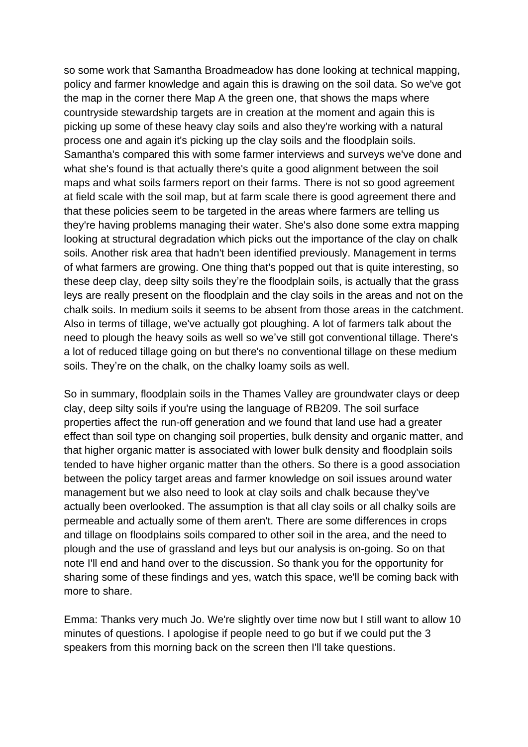so some work that Samantha Broadmeadow has done looking at technical mapping, policy and farmer knowledge and again this is drawing on the soil data. So we've got the map in the corner there Map A the green one, that shows the maps where countryside stewardship targets are in creation at the moment and again this is picking up some of these heavy clay soils and also they're working with a natural process one and again it's picking up the clay soils and the floodplain soils. Samantha's compared this with some farmer interviews and surveys we've done and what she's found is that actually there's quite a good alignment between the soil maps and what soils farmers report on their farms. There is not so good agreement at field scale with the soil map, but at farm scale there is good agreement there and that these policies seem to be targeted in the areas where farmers are telling us they're having problems managing their water. She's also done some extra mapping looking at structural degradation which picks out the importance of the clay on chalk soils. Another risk area that hadn't been identified previously. Management in terms of what farmers are growing. One thing that's popped out that is quite interesting, so these deep clay, deep silty soils they're the floodplain soils, is actually that the grass leys are really present on the floodplain and the clay soils in the areas and not on the chalk soils. In medium soils it seems to be absent from those areas in the catchment. Also in terms of tillage, we've actually got ploughing. A lot of farmers talk about the need to plough the heavy soils as well so we've still got conventional tillage. There's a lot of reduced tillage going on but there's no conventional tillage on these medium soils. They're on the chalk, on the chalky loamy soils as well.

So in summary, floodplain soils in the Thames Valley are groundwater clays or deep clay, deep silty soils if you're using the language of RB209. The soil surface properties affect the run-off generation and we found that land use had a greater effect than soil type on changing soil properties, bulk density and organic matter, and that higher organic matter is associated with lower bulk density and floodplain soils tended to have higher organic matter than the others. So there is a good association between the policy target areas and farmer knowledge on soil issues around water management but we also need to look at clay soils and chalk because they've actually been overlooked. The assumption is that all clay soils or all chalky soils are permeable and actually some of them aren't. There are some differences in crops and tillage on floodplains soils compared to other soil in the area, and the need to plough and the use of grassland and leys but our analysis is on-going. So on that note I'll end and hand over to the discussion. So thank you for the opportunity for sharing some of these findings and yes, watch this space, we'll be coming back with more to share.

Emma: Thanks very much Jo. We're slightly over time now but I still want to allow 10 minutes of questions. I apologise if people need to go but if we could put the 3 speakers from this morning back on the screen then I'll take questions.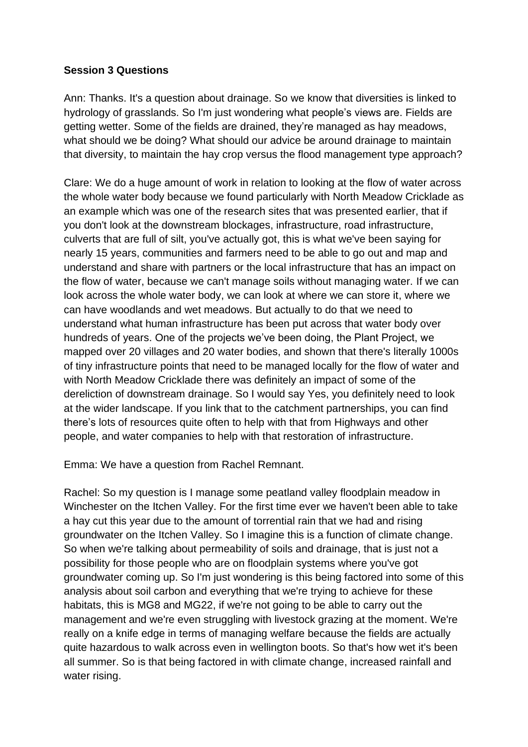#### **Session 3 Questions**

Ann: Thanks. It's a question about drainage. So we know that diversities is linked to hydrology of grasslands. So I'm just wondering what people's views are. Fields are getting wetter. Some of the fields are drained, they're managed as hay meadows, what should we be doing? What should our advice be around drainage to maintain that diversity, to maintain the hay crop versus the flood management type approach?

Clare: We do a huge amount of work in relation to looking at the flow of water across the whole water body because we found particularly with North Meadow Cricklade as an example which was one of the research sites that was presented earlier, that if you don't look at the downstream blockages, infrastructure, road infrastructure, culverts that are full of silt, you've actually got, this is what we've been saying for nearly 15 years, communities and farmers need to be able to go out and map and understand and share with partners or the local infrastructure that has an impact on the flow of water, because we can't manage soils without managing water. If we can look across the whole water body, we can look at where we can store it, where we can have woodlands and wet meadows. But actually to do that we need to understand what human infrastructure has been put across that water body over hundreds of years. One of the projects we've been doing, the Plant Project, we mapped over 20 villages and 20 water bodies, and shown that there's literally 1000s of tiny infrastructure points that need to be managed locally for the flow of water and with North Meadow Cricklade there was definitely an impact of some of the dereliction of downstream drainage. So I would say Yes, you definitely need to look at the wider landscape. If you link that to the catchment partnerships, you can find there's lots of resources quite often to help with that from Highways and other people, and water companies to help with that restoration of infrastructure.

Emma: We have a question from Rachel Remnant.

Rachel: So my question is I manage some peatland valley floodplain meadow in Winchester on the Itchen Valley. For the first time ever we haven't been able to take a hay cut this year due to the amount of torrential rain that we had and rising groundwater on the Itchen Valley. So I imagine this is a function of climate change. So when we're talking about permeability of soils and drainage, that is just not a possibility for those people who are on floodplain systems where you've got groundwater coming up. So I'm just wondering is this being factored into some of this analysis about soil carbon and everything that we're trying to achieve for these habitats, this is MG8 and MG22, if we're not going to be able to carry out the management and we're even struggling with livestock grazing at the moment. We're really on a knife edge in terms of managing welfare because the fields are actually quite hazardous to walk across even in wellington boots. So that's how wet it's been all summer. So is that being factored in with climate change, increased rainfall and water rising.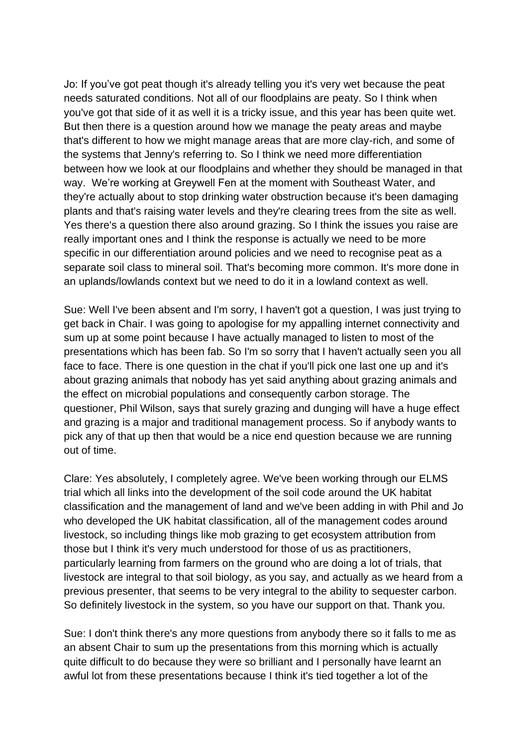Jo: If you've got peat though it's already telling you it's very wet because the peat needs saturated conditions. Not all of our floodplains are peaty. So I think when you've got that side of it as well it is a tricky issue, and this year has been quite wet. But then there is a question around how we manage the peaty areas and maybe that's different to how we might manage areas that are more clay-rich, and some of the systems that Jenny's referring to. So I think we need more differentiation between how we look at our floodplains and whether they should be managed in that way. We're working at Greywell Fen at the moment with Southeast Water, and they're actually about to stop drinking water obstruction because it's been damaging plants and that's raising water levels and they're clearing trees from the site as well. Yes there's a question there also around grazing. So I think the issues you raise are really important ones and I think the response is actually we need to be more specific in our differentiation around policies and we need to recognise peat as a separate soil class to mineral soil. That's becoming more common. It's more done in an uplands/lowlands context but we need to do it in a lowland context as well.

Sue: Well I've been absent and I'm sorry, I haven't got a question, I was just trying to get back in Chair. I was going to apologise for my appalling internet connectivity and sum up at some point because I have actually managed to listen to most of the presentations which has been fab. So I'm so sorry that I haven't actually seen you all face to face. There is one question in the chat if you'll pick one last one up and it's about grazing animals that nobody has yet said anything about grazing animals and the effect on microbial populations and consequently carbon storage. The questioner, Phil Wilson, says that surely grazing and dunging will have a huge effect and grazing is a major and traditional management process. So if anybody wants to pick any of that up then that would be a nice end question because we are running out of time.

Clare: Yes absolutely, I completely agree. We've been working through our ELMS trial which all links into the development of the soil code around the UK habitat classification and the management of land and we've been adding in with Phil and Jo who developed the UK habitat classification, all of the management codes around livestock, so including things like mob grazing to get ecosystem attribution from those but I think it's very much understood for those of us as practitioners, particularly learning from farmers on the ground who are doing a lot of trials, that livestock are integral to that soil biology, as you say, and actually as we heard from a previous presenter, that seems to be very integral to the ability to sequester carbon. So definitely livestock in the system, so you have our support on that. Thank you.

Sue: I don't think there's any more questions from anybody there so it falls to me as an absent Chair to sum up the presentations from this morning which is actually quite difficult to do because they were so brilliant and I personally have learnt an awful lot from these presentations because I think it's tied together a lot of the